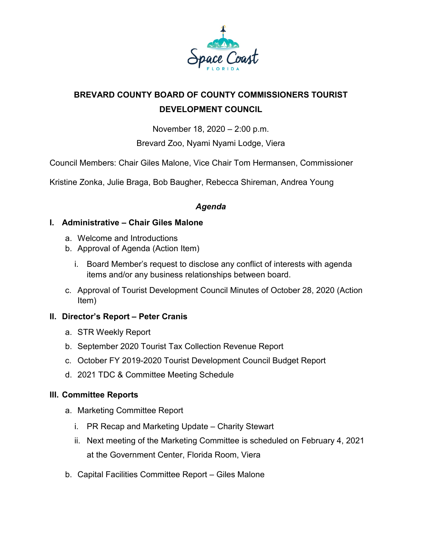

# **BREVARD COUNTY BOARD OF COUNTY COMMISSIONERS TOURIST DEVELOPMENT COUNCIL**

November 18, 2020 – 2:00 p.m.

Brevard Zoo, Nyami Nyami Lodge, Viera

Council Members: Chair Giles Malone, Vice Chair Tom Hermansen, Commissioner

Kristine Zonka, Julie Braga, Bob Baugher, Rebecca Shireman, Andrea Young

## *Agenda*

### **I. Administrative – Chair Giles Malone**

- a. Welcome and Introductions
- b. Approval of Agenda (Action Item)
	- i. Board Member's request to disclose any conflict of interests with agenda items and/or any business relationships between board.
- c. Approval of Tourist Development Council Minutes of October 28, 2020 (Action Item)

## **II. Director's Report – Peter Cranis**

- a. STR Weekly Report
- b. September 2020 Tourist Tax Collection Revenue Report
- c. October FY 2019-2020 Tourist Development Council Budget Report
- d. 2021 TDC & Committee Meeting Schedule

### **III. Committee Reports**

- a. Marketing Committee Report
	- i. PR Recap and Marketing Update Charity Stewart
	- ii. Next meeting of the Marketing Committee is scheduled on February 4, 2021 at the Government Center, Florida Room, Viera
- b. Capital Facilities Committee Report Giles Malone